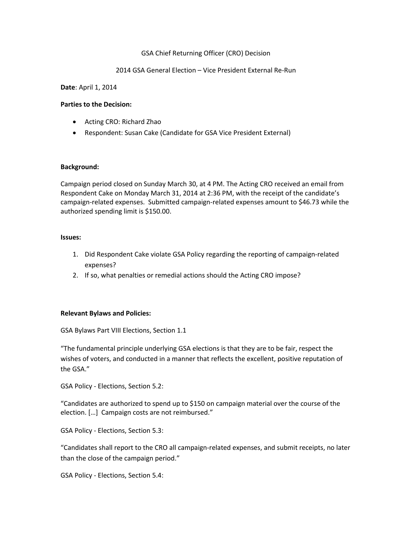# GSA Chief Returning Officer (CRO) Decision

## 2014 GSA General Election – Vice President External Re-Run

**Date**: April 1, 2014

## **Parties to the Decision:**

- Acting CRO: Richard Zhao
- Respondent: Susan Cake (Candidate for GSA Vice President External)

#### **Background:**

Campaign period closed on Sunday March 30, at 4 PM. The Acting CRO received an email from Respondent Cake on Monday March 31, 2014 at 2:36 PM, with the receipt of the candidate's campaign-related expenses. Submitted campaign-related expenses amount to \$46.73 while the authorized spending limit is \$150.00.

#### **Issues:**

- 1. Did Respondent Cake violate GSA Policy regarding the reporting of campaign-related expenses?
- 2. If so, what penalties or remedial actions should the Acting CRO impose?

## **Relevant Bylaws and Policies:**

GSA Bylaws Part VIII Elections, Section 1.1

"The fundamental principle underlying GSA elections is that they are to be fair, respect the wishes of voters, and conducted in a manner that reflects the excellent, positive reputation of the GSA."

GSA Policy - Elections, Section 5.2:

"Candidates are authorized to spend up to \$150 on campaign material over the course of the election. […] Campaign costs are not reimbursed."

GSA Policy - Elections, Section 5.3:

"Candidates shall report to the CRO all campaign-related expenses, and submit receipts, no later than the close of the campaign period."

GSA Policy - Elections, Section 5.4: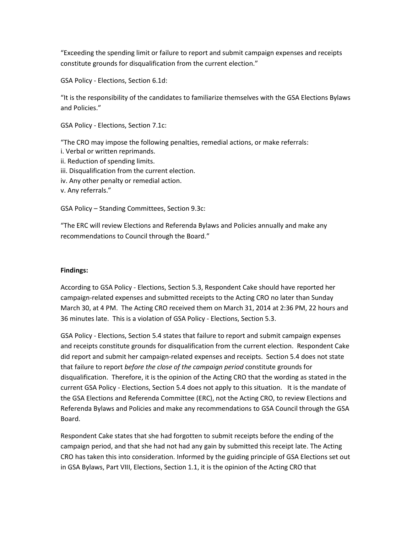"Exceeding the spending limit or failure to report and submit campaign expenses and receipts constitute grounds for disqualification from the current election."

GSA Policy - Elections, Section 6.1d:

"It is the responsibility of the candidates to familiarize themselves with the GSA Elections Bylaws and Policies."

GSA Policy - Elections, Section 7.1c:

"The CRO may impose the following penalties, remedial actions, or make referrals: i. Verbal or written reprimands. ii. Reduction of spending limits. iii. Disqualification from the current election. iv. Any other penalty or remedial action. v. Any referrals."

GSA Policy – Standing Committees, Section 9.3c:

"The ERC will review Elections and Referenda Bylaws and Policies annually and make any recommendations to Council through the Board."

# **Findings:**

According to GSA Policy - Elections, Section 5.3, Respondent Cake should have reported her campaign-related expenses and submitted receipts to the Acting CRO no later than Sunday March 30, at 4 PM. The Acting CRO received them on March 31, 2014 at 2:36 PM, 22 hours and 36 minutes late. This is a violation of GSA Policy - Elections, Section 5.3.

GSA Policy - Elections, Section 5.4 states that failure to report and submit campaign expenses and receipts constitute grounds for disqualification from the current election. Respondent Cake did report and submit her campaign-related expenses and receipts. Section 5.4 does not state that failure to report *before the close of the campaign period* constitute grounds for disqualification. Therefore, it is the opinion of the Acting CRO that the wording as stated in the current GSA Policy - Elections, Section 5.4 does not apply to this situation. It is the mandate of the GSA Elections and Referenda Committee (ERC), not the Acting CRO, to review Elections and Referenda Bylaws and Policies and make any recommendations to GSA Council through the GSA Board.

Respondent Cake states that she had forgotten to submit receipts before the ending of the campaign period, and that she had not had any gain by submitted this receipt late. The Acting CRO has taken this into consideration. Informed by the guiding principle of GSA Elections set out in GSA Bylaws, Part VIII, Elections, Section 1.1, it is the opinion of the Acting CRO that